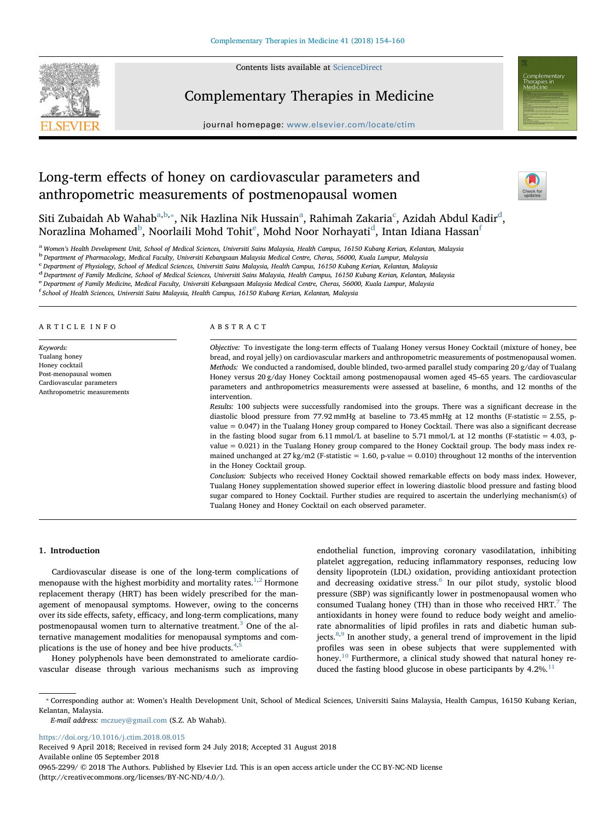

Contents lists available at [ScienceDirect](http://www.sciencedirect.com/science/journal/09652299)

# Complementary Therapies in Medicine

journal homepage: [www.elsevier.com/locate/ctim](https://www.elsevier.com/locate/ctim)

# Long-term effects of honey on cardiovascular parameters and anthropometric measurements of postmenopausal women



Siti Zu[b](#page-0-1)[a](#page-0-0)i[d](#page-0-4)ah Ab Wahab $^{\rm a,b,*},$  $^{\rm a,b,*},$  $^{\rm a,b,*},$  Nik Hazlina Nik Hussain $^{\rm a}$ , Rahimah Zakaria $^{\rm c}$  $^{\rm c}$  $^{\rm c}$ , Azidah Abdul Kadir $^{\rm d}$ , Norazlina Mohame[d](#page-0-4) $^{\rm b}$  $^{\rm b}$  $^{\rm b}$ , Noorlaili Mohd Tohit $^{\rm e}$ , Mohd Noor Norhayati $^{\rm d}$ , Intan Idiana Hassan $^{\rm f}$  $^{\rm f}$  $^{\rm f}$ 

<span id="page-0-0"></span><sup>a</sup> Women's Health Development Unit, School of Medical Sciences, Universiti Sains Malaysia, Health Campus, 16150 Kubang Kerian, Kelantan, Malaysia<br><sup>b</sup> Department of Pharmacology, Medical Faculty, Universiti Kebangsaan Mala

<span id="page-0-1"></span>

<span id="page-0-3"></span><sup>c</sup> Department of Physiology, School of Medical Sciences, Universiti Sains Malaysia, Health Campus, 16150 Kubang Kerian, Kelantan, Malaysia

<span id="page-0-4"></span><sup>d</sup> Department of Family Medicine, School of Medical Sciences, Universiti Sains Malaysia, Health Campus, 16150 Kubang Kerian, Kelantan, Malaysia

<span id="page-0-5"></span>e Department of Family Medicine, Medical Faculty, Universiti Kebangsaan Malaysia Medical Centre, Cheras, 56000, Kuala Lumpur, Malaysia

<span id="page-0-6"></span>f School of Health Sciences, Universiti Sains Malaysia, Health Campus, 16150 Kubang Kerian, Kelantan, Malaysia

#### ARTICLE INFO

Keywords: Tualang honey Honey cocktail Post-menopausal women Cardiovascular parameters Anthropometric measurements

#### ABSTRACT

Objective: To investigate the long-term effects of Tualang Honey versus Honey Cocktail (mixture of honey, bee bread, and royal jelly) on cardiovascular markers and anthropometric measurements of postmenopausal women. Methods: We conducted a randomised, double blinded, two-armed parallel study comparing 20 g/day of Tualang Honey versus 20 g/day Honey Cocktail among postmenopausal women aged 45–65 years. The cardiovascular parameters and anthropometrics measurements were assessed at baseline, 6 months, and 12 months of the intervention.

Results: 100 subjects were successfully randomised into the groups. There was a significant decrease in the diastolic blood pressure from 77.92 mmHg at baseline to 73.45 mmHg at 12 months (F-statistic = 2.55, pvalue = 0.047) in the Tualang Honey group compared to Honey Cocktail. There was also a significant decrease in the fasting blood sugar from 6.11 mmol/L at baseline to 5.71 mmol/L at 12 months (F-statistic = 4.03, pvalue = 0.021) in the Tualang Honey group compared to the Honey Cocktail group. The body mass index remained unchanged at  $27 \text{ kg/m2}$  (F-statistic = 1.60, p-value = 0.010) throughout 12 months of the intervention in the Honey Cocktail group.

Conclusion: Subjects who received Honey Cocktail showed remarkable effects on body mass index. However, Tualang Honey supplementation showed superior effect in lowering diastolic blood pressure and fasting blood sugar compared to Honey Cocktail. Further studies are required to ascertain the underlying mechanism(s) of Tualang Honey and Honey Cocktail on each observed parameter.

## 1. Introduction

Cardiovascular disease is one of the long-term complications of menopause with the highest morbidity and mortality rates.<sup>[1,](#page--1-0)[2](#page--1-1)</sup> Hormone replacement therapy (HRT) has been widely prescribed for the management of menopausal symptoms. However, owing to the concerns over its side effects, safety, efficacy, and long-term complications, many postmenopausal women turn to alternative treatment.[3](#page--1-2) One of the alternative management modalities for menopausal symptoms and complications is the use of honey and bee hive products. $4,5$  $4,5$  $4,5$ 

Honey polyphenols have been demonstrated to ameliorate cardiovascular disease through various mechanisms such as improving endothelial function, improving coronary vasodilatation, inhibiting platelet aggregation, reducing inflammatory responses, reducing low density lipoprotein (LDL) oxidation, providing antioxidant protection and decreasing oxidative stress.<sup>[6](#page--1-5)</sup> In our pilot study, systolic blood pressure (SBP) was significantly lower in postmenopausal women who consumed Tualang honey (TH) than in those who received  $HRT<sup>7</sup>$  $HRT<sup>7</sup>$  $HRT<sup>7</sup>$  The antioxidants in honey were found to reduce body weight and ameliorate abnormalities of lipid profiles in rats and diabetic human subjects. $8,9$  $8,9$  $8,9$  In another study, a general trend of improvement in the lipid profiles was seen in obese subjects that were supplemented with honey.<sup>[10](#page--1-9)</sup> Furthermore, a clinical study showed that natural honey reduced the fasting blood glucose in obese participants by  $4.2\%$ .<sup>[11](#page--1-10)</sup>

<span id="page-0-2"></span>⁎ Corresponding author at: Women's Health Development Unit, School of Medical Sciences, Universiti Sains Malaysia, Health Campus, 16150 Kubang Kerian, Kelantan, Malaysia.

E-mail address: [mczuey@gmail.com](mailto:mczuey@gmail.com) (S.Z. Ab Wahab).

<https://doi.org/10.1016/j.ctim.2018.08.015>

Received 9 April 2018; Received in revised form 24 July 2018; Accepted 31 August 2018 Available online 05 September 2018 0965-2299/ © 2018 The Authors. Published by Elsevier Ltd. This is an open access article under the CC BY-NC-ND license (http://creativecommons.org/licenses/BY-NC-ND/4.0/).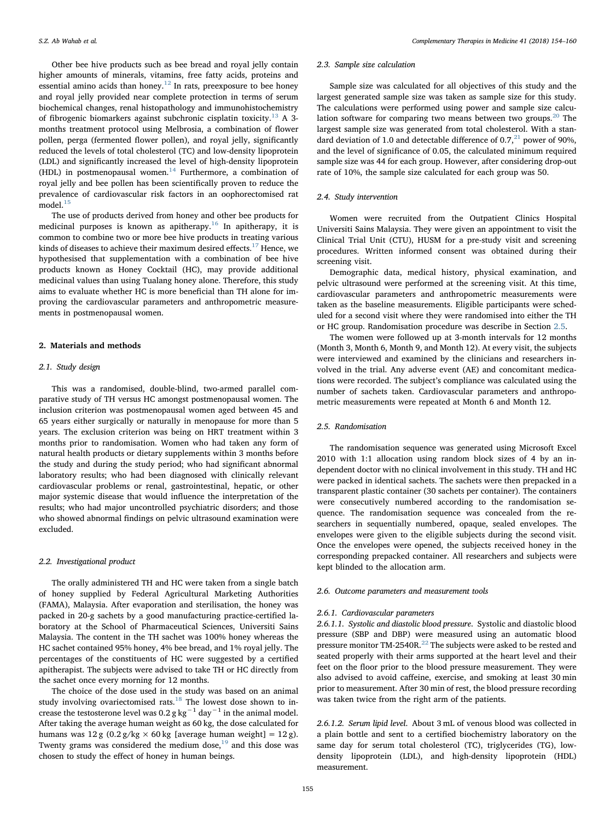Other bee hive products such as bee bread and royal jelly contain higher amounts of minerals, vitamins, free fatty acids, proteins and essential amino acids than honey.<sup>[12](#page--1-11)</sup> In rats, preexposure to bee honey and royal jelly provided near complete protection in terms of serum biochemical changes, renal histopathology and immunohistochemistry of fibrogenic biomarkers against subchronic cisplatin toxicity.[13](#page--1-12) A 3 months treatment protocol using Melbrosia, a combination of flower pollen, perga (fermented flower pollen), and royal jelly, significantly reduced the levels of total cholesterol (TC) and low-density lipoprotein (LDL) and significantly increased the level of high-density lipoprotein (HDL) in postmenopausal women.<sup>[14](#page--1-13)</sup> Furthermore, a combination of royal jelly and bee pollen has been scientifically proven to reduce the prevalence of cardiovascular risk factors in an oophorectomised rat  $model.<sup>15</sup>$  $model.<sup>15</sup>$  $model.<sup>15</sup>$ 

The use of products derived from honey and other bee products for medicinal purposes is known as apitherapy.<sup>[16](#page--1-15)</sup> In apitherapy, it is common to combine two or more bee hive products in treating various kinds of diseases to achieve their maximum desired effects.<sup>[17](#page--1-16)</sup> Hence, we hypothesised that supplementation with a combination of bee hive products known as Honey Cocktail (HC), may provide additional medicinal values than using Tualang honey alone. Therefore, this study aims to evaluate whether HC is more beneficial than TH alone for improving the cardiovascular parameters and anthropometric measurements in postmenopausal women.

#### 2. Materials and methods

# 2.1. Study design

This was a randomised, double-blind, two-armed parallel comparative study of TH versus HC amongst postmenopausal women. The inclusion criterion was postmenopausal women aged between 45 and 65 years either surgically or naturally in menopause for more than 5 years. The exclusion criterion was being on HRT treatment within 3 months prior to randomisation. Women who had taken any form of natural health products or dietary supplements within 3 months before the study and during the study period; who had significant abnormal laboratory results; who had been diagnosed with clinically relevant cardiovascular problems or renal, gastrointestinal, hepatic, or other major systemic disease that would influence the interpretation of the results; who had major uncontrolled psychiatric disorders; and those who showed abnormal findings on pelvic ultrasound examination were excluded.

#### 2.2. Investigational product

The orally administered TH and HC were taken from a single batch of honey supplied by Federal Agricultural Marketing Authorities (FAMA), Malaysia. After evaporation and sterilisation, the honey was packed in 20-g sachets by a good manufacturing practice-certified laboratory at the School of Pharmaceutical Sciences, Universiti Sains Malaysia. The content in the TH sachet was 100% honey whereas the HC sachet contained 95% honey, 4% bee bread, and 1% royal jelly. The percentages of the constituents of HC were suggested by a certified apitherapist. The subjects were advised to take TH or HC directly from the sachet once every morning for 12 months.

The choice of the dose used in the study was based on an animal study involving ovariectomised rats. $^{18}$  The lowest dose shown to increase the testosterone level was  $0.2$  g kg<sup>-1</sup> day<sup>-1</sup> in the animal model. After taking the average human weight as 60 kg, the dose calculated for humans was  $12 g (0.2 g/kg \times 60 kg$  [average human weight] =  $12 g$ ). Twenty grams was considered the medium dose, $19$  and this dose was chosen to study the effect of honey in human beings.

#### 2.3. Sample size calculation

Sample size was calculated for all objectives of this study and the largest generated sample size was taken as sample size for this study. The calculations were performed using power and sample size calculation software for comparing two means between two groups. $20$  The largest sample size was generated from total cholesterol. With a standard deviation of 1.0 and detectable difference of 0.7, $^{21}$  $^{21}$  $^{21}$  power of 90%, and the level of significance of 0.05, the calculated minimum required sample size was 44 for each group. However, after considering drop-out rate of 10%, the sample size calculated for each group was 50.

## 2.4. Study intervention

Women were recruited from the Outpatient Clinics Hospital Universiti Sains Malaysia. They were given an appointment to visit the Clinical Trial Unit (CTU), HUSM for a pre-study visit and screening procedures. Written informed consent was obtained during their screening visit.

Demographic data, medical history, physical examination, and pelvic ultrasound were performed at the screening visit. At this time, cardiovascular parameters and anthropometric measurements were taken as the baseline measurements. Eligible participants were scheduled for a second visit where they were randomised into either the TH or HC group. Randomisation procedure was describe in Section [2.5.](#page-1-0)

The women were followed up at 3-month intervals for 12 months (Month 3, Month 6, Month 9, and Month 12). At every visit, the subjects were interviewed and examined by the clinicians and researchers involved in the trial. Any adverse event (AE) and concomitant medications were recorded. The subject's compliance was calculated using the number of sachets taken. Cardiovascular parameters and anthropometric measurements were repeated at Month 6 and Month 12.

### <span id="page-1-0"></span>2.5. Randomisation

The randomisation sequence was generated using Microsoft Excel 2010 with 1:1 allocation using random block sizes of 4 by an independent doctor with no clinical involvement in this study. TH and HC were packed in identical sachets. The sachets were then prepacked in a transparent plastic container (30 sachets per container). The containers were consecutively numbered according to the randomisation sequence. The randomisation sequence was concealed from the researchers in sequentially numbered, opaque, sealed envelopes. The envelopes were given to the eligible subjects during the second visit. Once the envelopes were opened, the subjects received honey in the corresponding prepacked container. All researchers and subjects were kept blinded to the allocation arm.

# 2.6. Outcome parameters and measurement tools

# 2.6.1. Cardiovascular parameters

2.6.1.1. Systolic and diastolic blood pressure. Systolic and diastolic blood pressure (SBP and DBP) were measured using an automatic blood pressure monitor TM-2540R.<sup>[22](#page--1-21)</sup> The subjects were asked to be rested and seated properly with their arms supported at the heart level and their feet on the floor prior to the blood pressure measurement. They were also advised to avoid caffeine, exercise, and smoking at least 30 min prior to measurement. After 30 min of rest, the blood pressure recording was taken twice from the right arm of the patients.

2.6.1.2. Serum lipid level. About 3 mL of venous blood was collected in a plain bottle and sent to a certified biochemistry laboratory on the same day for serum total cholesterol (TC), triglycerides (TG), lowdensity lipoprotein (LDL), and high-density lipoprotein (HDL) measurement.